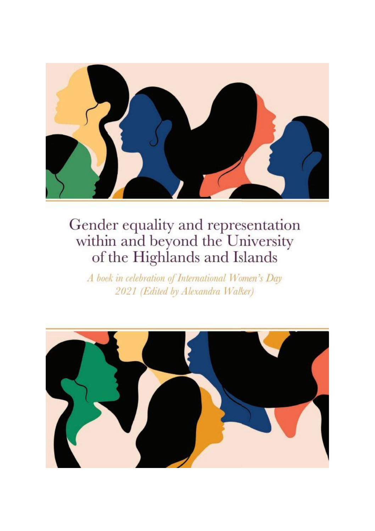

A book in celebration of International Women's Day 2021 (Edited by Alexandra Walker)

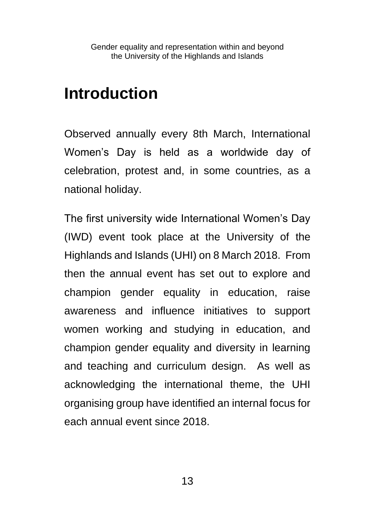## **Introduction**

Observed annually every 8th March, International Women's Day is held as a worldwide day of celebration, protest and, in some countries, as a national holiday.

The first university wide International Women's Day (IWD) event took place at the University of the Highlands and Islands (UHI) on 8 March 2018. From then the annual event has set out to explore and champion gender equality in education, raise awareness and influence initiatives to support women working and studying in education, and champion gender equality and diversity in learning and teaching and curriculum design. As well as acknowledging the international theme, the UHI organising group have identified an internal focus for each annual event since 2018.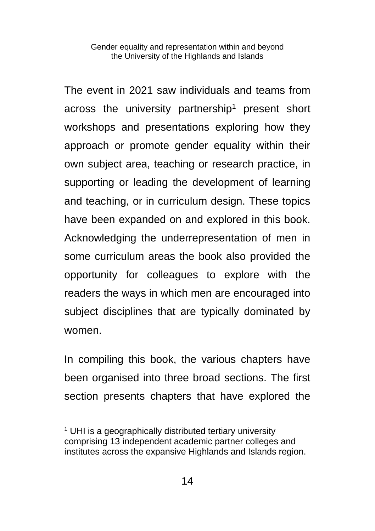The event in 2021 saw individuals and teams from across the university partnership<sup>1</sup> present short workshops and presentations exploring how they approach or promote gender equality within their own subject area, teaching or research practice, in supporting or leading the development of learning and teaching, or in curriculum design. These topics have been expanded on and explored in this book. Acknowledging the underrepresentation of men in some curriculum areas the book also provided the opportunity for colleagues to explore with the readers the ways in which men are encouraged into subject disciplines that are typically dominated by women.

In compiling this book, the various chapters have been organised into three broad sections. The first section presents chapters that have explored the

<sup>&</sup>lt;sup>1</sup> UHI is a geographically distributed tertiary university comprising 13 independent academic partner colleges and institutes across the expansive Highlands and Islands region.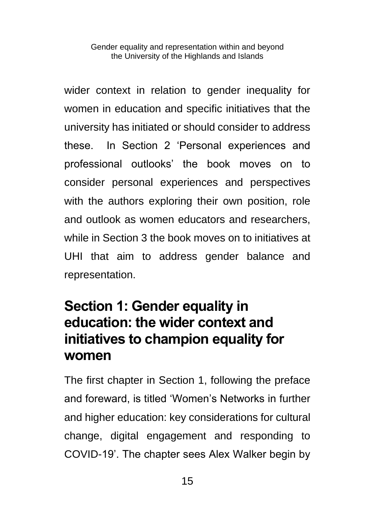wider context in relation to gender inequality for women in education and specific initiatives that the university has initiated or should consider to address these. In Section 2 'Personal experiences and professional outlooks' the book moves on to consider personal experiences and perspectives with the authors exploring their own position, role and outlook as women educators and researchers, while in Section 3 the book moves on to initiatives at UHI that aim to address gender balance and representation.

## **Section 1: Gender equality in education: the wider context and initiatives to champion equality for women**

The first chapter in Section 1, following the preface and foreward, is titled 'Women's Networks in further and higher education: key considerations for cultural change, digital engagement and responding to COVID-19'. The chapter sees Alex Walker begin by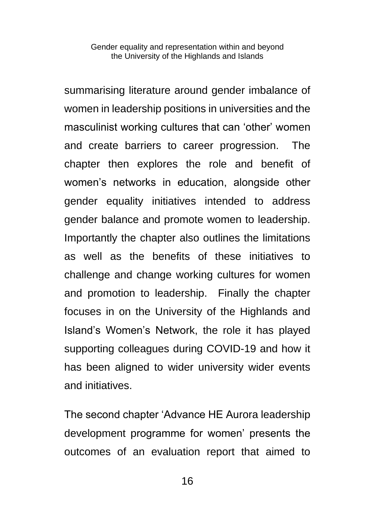summarising literature around gender imbalance of women in leadership positions in universities and the masculinist working cultures that can 'other' women and create barriers to career progression. The chapter then explores the role and benefit of women's networks in education, alongside other gender equality initiatives intended to address gender balance and promote women to leadership. Importantly the chapter also outlines the limitations as well as the benefits of these initiatives to challenge and change working cultures for women and promotion to leadership. Finally the chapter focuses in on the University of the Highlands and Island's Women's Network, the role it has played supporting colleagues during COVID-19 and how it has been aligned to wider university wider events and initiatives.

The second chapter 'Advance HE Aurora leadership development programme for women' presents the outcomes of an evaluation report that aimed to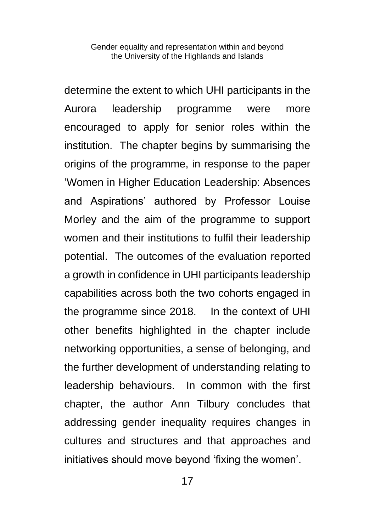determine the extent to which UHI participants in the Aurora leadership programme were more encouraged to apply for senior roles within the institution. The chapter begins by summarising the origins of the programme, in response to the paper 'Women in Higher Education Leadership: Absences and Aspirations' authored by Professor Louise Morley and the aim of the programme to support women and their institutions to fulfil their leadership potential. The outcomes of the evaluation reported a growth in confidence in UHI participants leadership capabilities across both the two cohorts engaged in the programme since 2018. In the context of UHI other benefits highlighted in the chapter include networking opportunities, a sense of belonging, and the further development of understanding relating to leadership behaviours. In common with the first chapter, the author Ann Tilbury concludes that addressing gender inequality requires changes in cultures and structures and that approaches and initiatives should move beyond 'fixing the women'.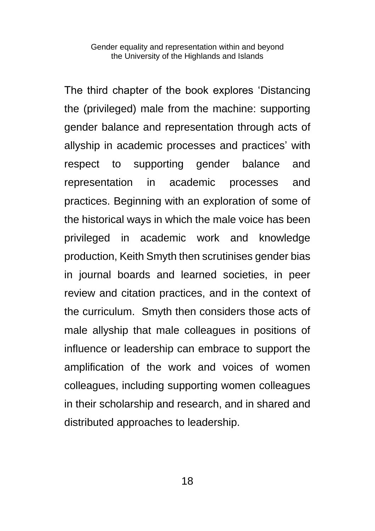The third chapter of the book explores 'Distancing the (privileged) male from the machine: supporting gender balance and representation through acts of allyship in academic processes and practices' with respect to supporting gender balance and representation in academic processes and practices. Beginning with an exploration of some of the historical ways in which the male voice has been privileged in academic work and knowledge production, Keith Smyth then scrutinises gender bias in journal boards and learned societies, in peer review and citation practices, and in the context of the curriculum. Smyth then considers those acts of male allyship that male colleagues in positions of influence or leadership can embrace to support the amplification of the work and voices of women colleagues, including supporting women colleagues in their scholarship and research, and in shared and distributed approaches to leadership.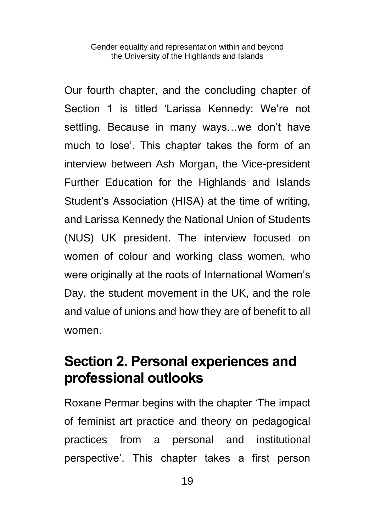Our fourth chapter, and the concluding chapter of Section 1 is titled 'Larissa Kennedy: We're not settling. Because in many ways…we don't have much to lose'. This chapter takes the form of an interview between Ash Morgan, the Vice-president Further Education for the Highlands and Islands Student's Association (HISA) at the time of writing, and Larissa Kennedy the National Union of Students (NUS) UK president. The interview focused on women of colour and working class women, who were originally at the roots of International Women's Day, the student movement in the UK, and the role and value of unions and how they are of benefit to all women.

### **Section 2. Personal experiences and professional outlooks**

Roxane Permar begins with the chapter 'The impact of feminist art practice and theory on pedagogical practices from a personal and institutional perspective'. This chapter takes a first person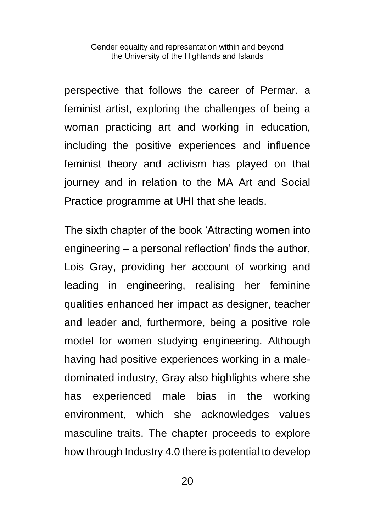perspective that follows the career of Permar, a feminist artist, exploring the challenges of being a woman practicing art and working in education, including the positive experiences and influence feminist theory and activism has played on that journey and in relation to the MA Art and Social Practice programme at UHI that she leads.

The sixth chapter of the book 'Attracting women into engineering – a personal reflection' finds the author, Lois Gray, providing her account of working and leading in engineering, realising her feminine qualities enhanced her impact as designer, teacher and leader and, furthermore, being a positive role model for women studying engineering. Although having had positive experiences working in a maledominated industry, Gray also highlights where she has experienced male bias in the working environment, which she acknowledges values masculine traits. The chapter proceeds to explore how through Industry 4.0 there is potential to develop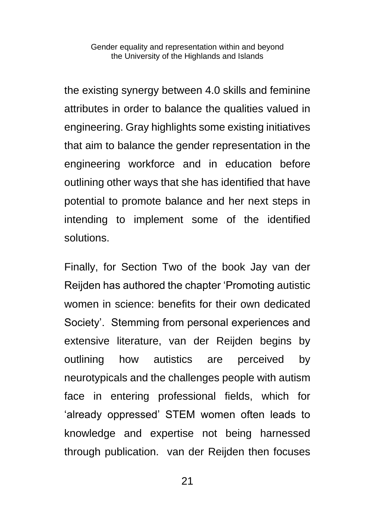the existing synergy between 4.0 skills and feminine attributes in order to balance the qualities valued in engineering. Gray highlights some existing initiatives that aim to balance the gender representation in the engineering workforce and in education before outlining other ways that she has identified that have potential to promote balance and her next steps in intending to implement some of the identified solutions.

Finally, for Section Two of the book Jay van der Reijden has authored the chapter 'Promoting autistic women in science: benefits for their own dedicated Society'. Stemming from personal experiences and extensive literature, van der Reijden begins by outlining how autistics are perceived by neurotypicals and the challenges people with autism face in entering professional fields, which for 'already oppressed' STEM women often leads to knowledge and expertise not being harnessed through publication. van der Reijden then focuses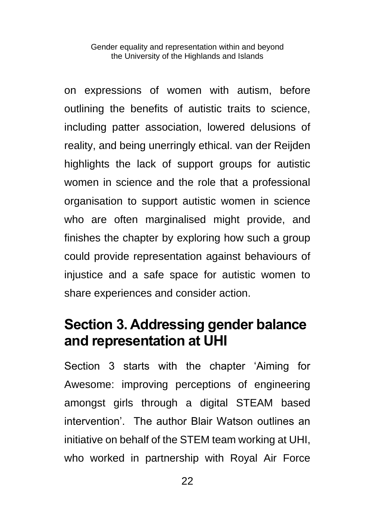on expressions of women with autism, before outlining the benefits of autistic traits to science, including patter association, lowered delusions of reality, and being unerringly ethical. van der Reijden highlights the lack of support groups for autistic women in science and the role that a professional organisation to support autistic women in science who are often marginalised might provide, and finishes the chapter by exploring how such a group could provide representation against behaviours of injustice and a safe space for autistic women to share experiences and consider action.

### **Section 3. Addressing gender balance and representation at UHI**

Section 3 starts with the chapter 'Aiming for Awesome: improving perceptions of engineering amongst girls through a digital STEAM based intervention'. The author Blair Watson outlines an initiative on behalf of the STEM team working at UHI, who worked in partnership with Royal Air Force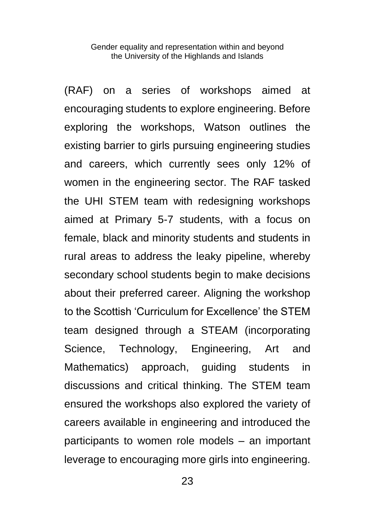(RAF) on a series of workshops aimed at encouraging students to explore engineering. Before exploring the workshops, Watson outlines the existing barrier to girls pursuing engineering studies and careers, which currently sees only 12% of women in the engineering sector. The RAF tasked the UHI STEM team with redesigning workshops aimed at Primary 5-7 students, with a focus on female, black and minority students and students in rural areas to address the leaky pipeline, whereby secondary school students begin to make decisions about their preferred career. Aligning the workshop to the Scottish 'Curriculum for Excellence' the STEM team designed through a STEAM (incorporating Science, Technology, Engineering, Art and Mathematics) approach, guiding students in discussions and critical thinking. The STEM team ensured the workshops also explored the variety of careers available in engineering and introduced the participants to women role models – an important leverage to encouraging more girls into engineering.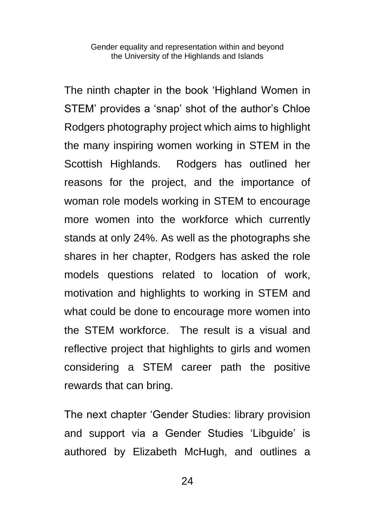The ninth chapter in the book 'Highland Women in STEM' provides a 'snap' shot of the author's Chloe Rodgers photography project which aims to highlight the many inspiring women working in STEM in the Scottish Highlands. Rodgers has outlined her reasons for the project, and the importance of woman role models working in STEM to encourage more women into the workforce which currently stands at only 24%. As well as the photographs she shares in her chapter, Rodgers has asked the role models questions related to location of work, motivation and highlights to working in STEM and what could be done to encourage more women into the STEM workforce. The result is a visual and reflective project that highlights to girls and women considering a STEM career path the positive rewards that can bring.

The next chapter 'Gender Studies: library provision and support via a Gender Studies 'Libguide' is authored by Elizabeth McHugh, and outlines a

 $24$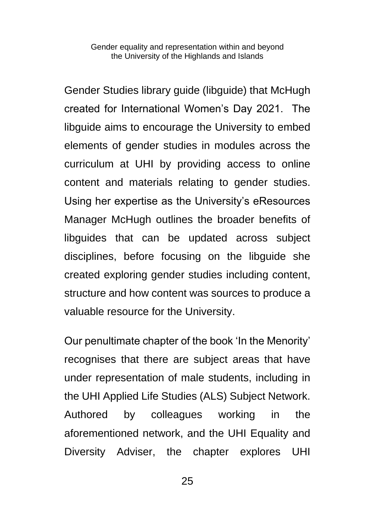Gender Studies library guide (libguide) that McHugh created for International Women's Day 2021. The libguide aims to encourage the University to embed elements of gender studies in modules across the curriculum at UHI by providing access to online content and materials relating to gender studies. Using her expertise as the University's eResources Manager McHugh outlines the broader benefits of libguides that can be updated across subject disciplines, before focusing on the libguide she created exploring gender studies including content, structure and how content was sources to produce a valuable resource for the University.

Our penultimate chapter of the book 'In the Menority' recognises that there are subject areas that have under representation of male students, including in the UHI Applied Life Studies (ALS) Subject Network. Authored by colleagues working in the aforementioned network, and the UHI Equality and Diversity Adviser, the chapter explores UHI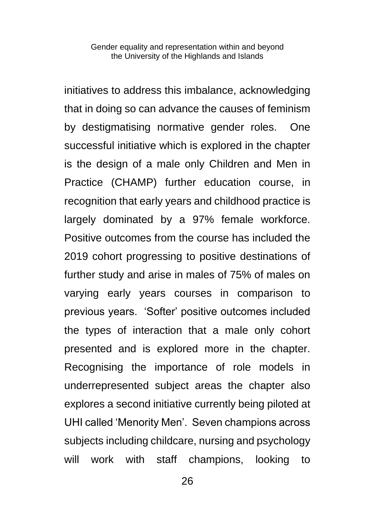initiatives to address this imbalance, acknowledging that in doing so can advance the causes of feminism by destigmatising normative gender roles. One successful initiative which is explored in the chapter is the design of a male only Children and Men in Practice (CHAMP) further education course, in recognition that early years and childhood practice is largely dominated by a 97% female workforce. Positive outcomes from the course has included the 2019 cohort progressing to positive destinations of further study and arise in males of 75% of males on varying early years courses in comparison to previous years. 'Softer' positive outcomes included the types of interaction that a male only cohort presented and is explored more in the chapter. Recognising the importance of role models in underrepresented subject areas the chapter also explores a second initiative currently being piloted at UHI called 'Menority Men'. Seven champions across subjects including childcare, nursing and psychology will work with staff champions, looking to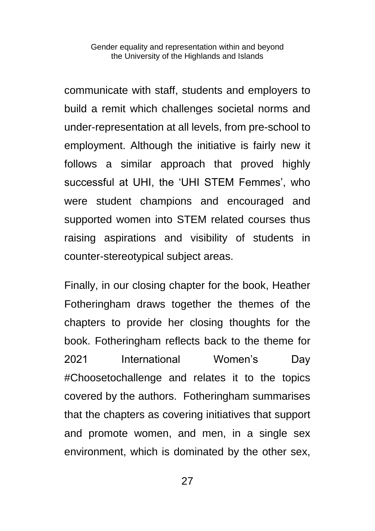communicate with staff, students and employers to build a remit which challenges societal norms and under-representation at all levels, from pre-school to employment. Although the initiative is fairly new it follows a similar approach that proved highly successful at UHI, the 'UHI STEM Femmes', who were student champions and encouraged and supported women into STEM related courses thus raising aspirations and visibility of students in counter-stereotypical subject areas.

Finally, in our closing chapter for the book, Heather Fotheringham draws together the themes of the chapters to provide her closing thoughts for the book. Fotheringham reflects back to the theme for 2021 International Women's Day #Choosetochallenge and relates it to the topics covered by the authors. Fotheringham summarises that the chapters as covering initiatives that support and promote women, and men, in a single sex environment, which is dominated by the other sex,

27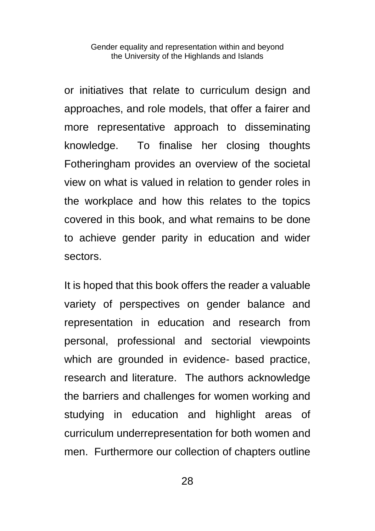or initiatives that relate to curriculum design and approaches, and role models, that offer a fairer and more representative approach to disseminating knowledge. To finalise her closing thoughts Fotheringham provides an overview of the societal view on what is valued in relation to gender roles in the workplace and how this relates to the topics covered in this book, and what remains to be done to achieve gender parity in education and wider sectors.

It is hoped that this book offers the reader a valuable variety of perspectives on gender balance and representation in education and research from personal, professional and sectorial viewpoints which are grounded in evidence- based practice, research and literature. The authors acknowledge the barriers and challenges for women working and studying in education and highlight areas of curriculum underrepresentation for both women and men. Furthermore our collection of chapters outline